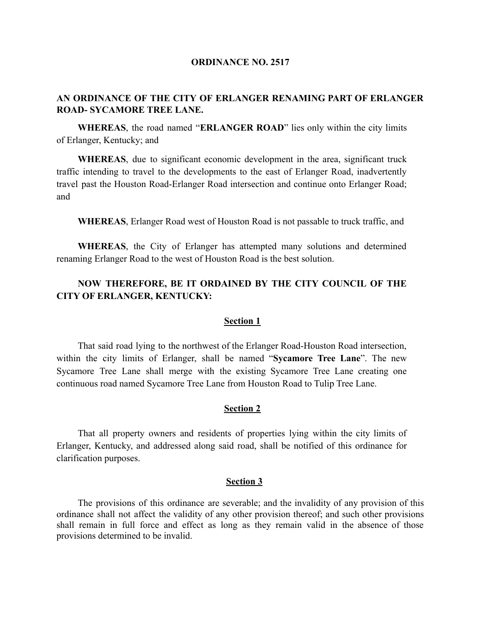#### **ORDINANCE NO. 2517**

## **AN ORDINANCE OF THE CITY OF ERLANGER RENAMING PART OF ERLANGER ROAD- SYCAMORE TREE LANE.**

**WHEREAS**, the road named "**ERLANGER ROAD**" lies only within the city limits of Erlanger, Kentucky; and

**WHEREAS**, due to significant economic development in the area, significant truck traffic intending to travel to the developments to the east of Erlanger Road, inadvertently travel past the Houston Road-Erlanger Road intersection and continue onto Erlanger Road; and

**WHEREAS**, Erlanger Road west of Houston Road is not passable to truck traffic, and

**WHEREAS**, the City of Erlanger has attempted many solutions and determined renaming Erlanger Road to the west of Houston Road is the best solution.

# **NOW THEREFORE, BE IT ORDAINED BY THE CITY COUNCIL OF THE CITY OF ERLANGER, KENTUCKY:**

### **Section 1**

That said road lying to the northwest of the Erlanger Road-Houston Road intersection, within the city limits of Erlanger, shall be named "**Sycamore Tree Lane**". The new Sycamore Tree Lane shall merge with the existing Sycamore Tree Lane creating one continuous road named Sycamore Tree Lane from Houston Road to Tulip Tree Lane.

#### **Section 2**

That all property owners and residents of properties lying within the city limits of Erlanger, Kentucky, and addressed along said road, shall be notified of this ordinance for clarification purposes.

#### **Section 3**

The provisions of this ordinance are severable; and the invalidity of any provision of this ordinance shall not affect the validity of any other provision thereof; and such other provisions shall remain in full force and effect as long as they remain valid in the absence of those provisions determined to be invalid.